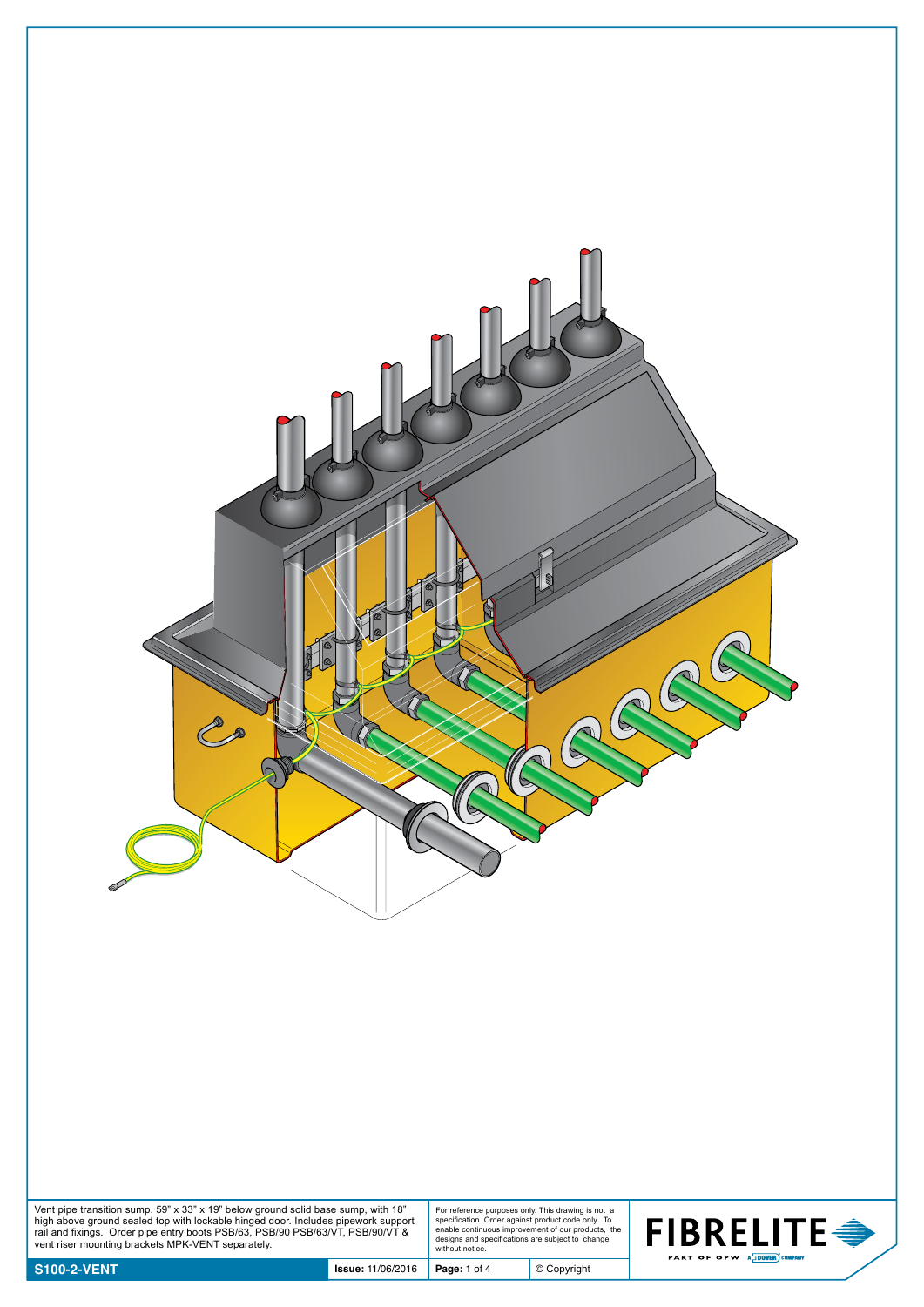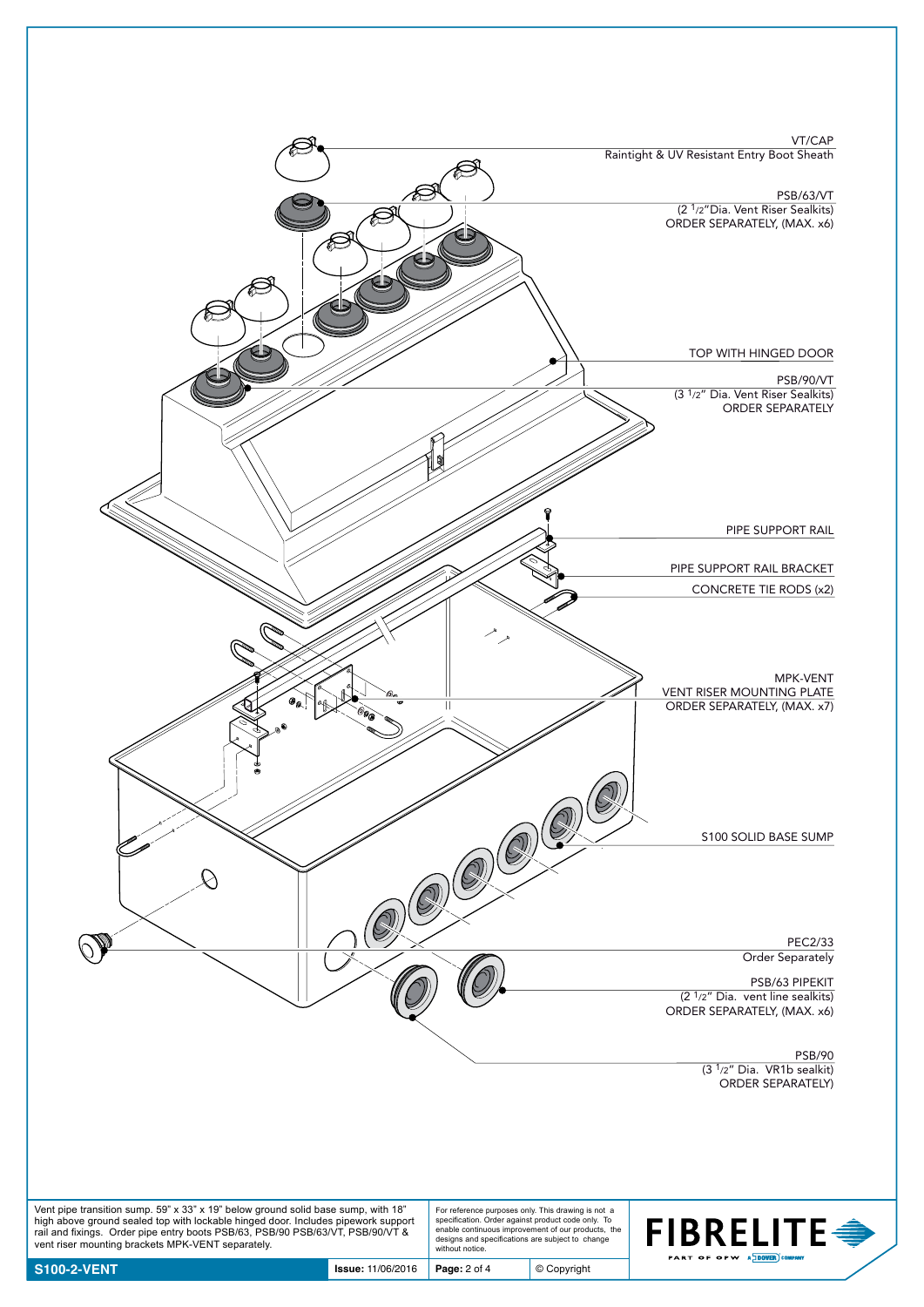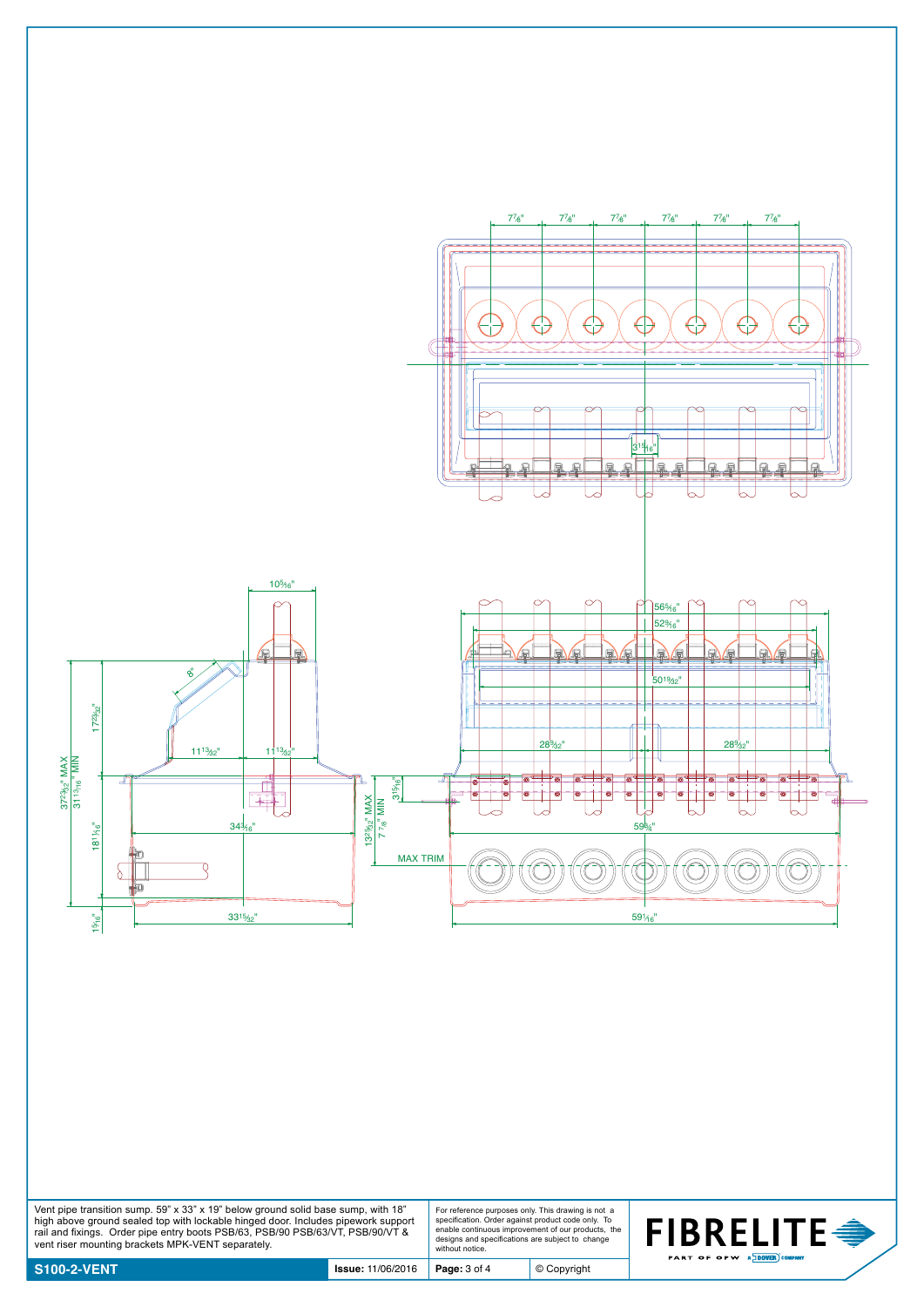

Vent pipe transition sump. 59" x 33" x 19" below ground solid base sump, with 18"<br>high above ground sealed top with lockable hinged door. Includes pipework support<br>rail and fixings. Order pipe entry boots PSB/63, PSB/90 P

For reference purposes only. This drawing is not a specification. Order against product code only. To enable continuous improvement of our products, the designs and specifications are subject to change without notice.

© Copyright